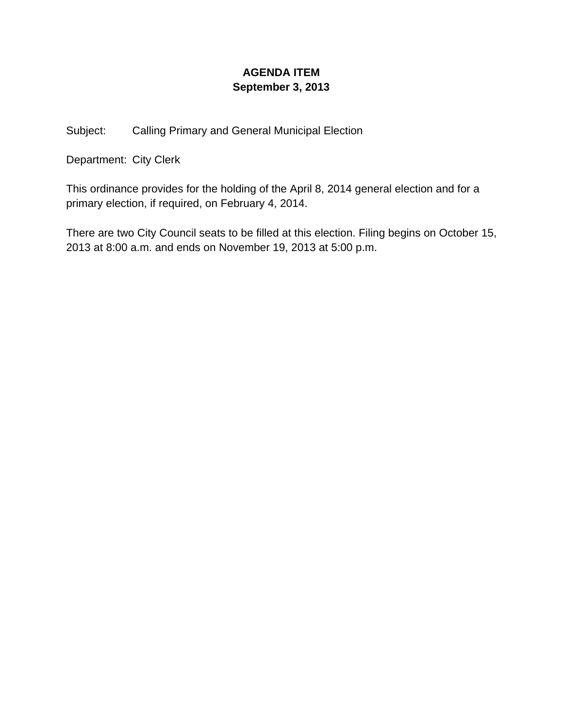## **AGENDA ITEM September 3, 2013**

Subject: Calling Primary and General Municipal Election

Department: City Clerk

This ordinance provides for the holding of the April 8, 2014 general election and for a primary election, if required, on February 4, 2014.

There are two City Council seats to be filled at this election. Filing begins on October 15, 2013 at 8:00 a.m. and ends on November 19, 2013 at 5:00 p.m.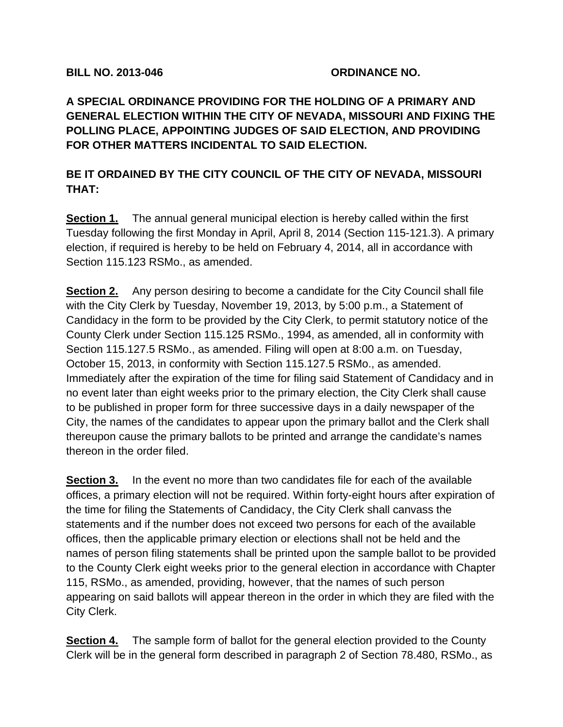## **BILL NO. 2013-046 ORDINANCE NO.**

**A SPECIAL ORDINANCE PROVIDING FOR THE HOLDING OF A PRIMARY AND GENERAL ELECTION WITHIN THE CITY OF NEVADA, MISSOURI AND FIXING THE POLLING PLACE, APPOINTING JUDGES OF SAID ELECTION, AND PROVIDING FOR OTHER MATTERS INCIDENTAL TO SAID ELECTION.** 

## **BE IT ORDAINED BY THE CITY COUNCIL OF THE CITY OF NEVADA, MISSOURI THAT:**

**Section 1.** The annual general municipal election is hereby called within the first Tuesday following the first Monday in April, April 8, 2014 (Section 115-121.3). A primary election, if required is hereby to be held on February 4, 2014, all in accordance with Section 115.123 RSMo., as amended.

**Section 2.** Any person desiring to become a candidate for the City Council shall file with the City Clerk by Tuesday, November 19, 2013, by 5:00 p.m., a Statement of Candidacy in the form to be provided by the City Clerk, to permit statutory notice of the County Clerk under Section 115.125 RSMo., 1994, as amended, all in conformity with Section 115.127.5 RSMo., as amended. Filing will open at 8:00 a.m. on Tuesday, October 15, 2013, in conformity with Section 115.127.5 RSMo., as amended. Immediately after the expiration of the time for filing said Statement of Candidacy and in no event later than eight weeks prior to the primary election, the City Clerk shall cause to be published in proper form for three successive days in a daily newspaper of the City, the names of the candidates to appear upon the primary ballot and the Clerk shall thereupon cause the primary ballots to be printed and arrange the candidate's names thereon in the order filed.

**Section 3.** In the event no more than two candidates file for each of the available offices, a primary election will not be required. Within forty-eight hours after expiration of the time for filing the Statements of Candidacy, the City Clerk shall canvass the statements and if the number does not exceed two persons for each of the available offices, then the applicable primary election or elections shall not be held and the names of person filing statements shall be printed upon the sample ballot to be provided to the County Clerk eight weeks prior to the general election in accordance with Chapter 115, RSMo., as amended, providing, however, that the names of such person appearing on said ballots will appear thereon in the order in which they are filed with the City Clerk.

**Section 4.** The sample form of ballot for the general election provided to the County Clerk will be in the general form described in paragraph 2 of Section 78.480, RSMo., as